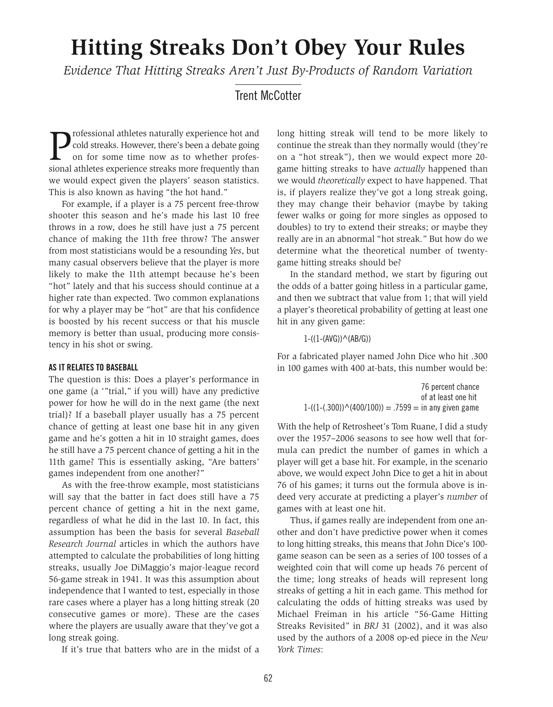# **Hitting Streaks Don't Obey Your Rules**

*Evidence That Hitting Streaks Aren't Just By-Products of Random Variation*

Trent McCotter

professional athletes naturally experience hot and<br>cold streaks. However, there's been a debate going<br>on for some time now as to whether profes-<br>sional athletes experience streaks more frequently than cold streaks. However, there's been a debate going on for some time now as to whether professional athletes experience streaks more frequently than we would expect given the players' season statistics. This is also known as having "the hot hand."

For example, if a player is a 75 percent free-throw shooter this season and he's made his last 10 free throws in a row, does he still have just a 75 percent chance of making the 11th free throw? The answer from most statisticians would be a resounding *Yes*, but many casual observers believe that the player is more likely to make the 11th attempt because he's been "hot" lately and that his success should continue at a higher rate than expected. Two common explanations for why a player may be "hot" are that his confidence is boosted by his recent success or that his muscle memory is better than usual, producing more consistency in his shot or swing.

#### **AS IT RELATES TO BASEBALL**

The question is this: Does a player's performance in one game (a '"trial," if you will) have any predictive power for how he will do in the next game (the next trial)? If a baseball player usually has a 75 percent chance of getting at least one base hit in any given game and he's gotten a hit in 10 straight games, does he still have a 75 percent chance of getting a hit in the 11th game? This is essentially asking, "Are batters' games independent from one another?"

As with the free-throw example, most statisticians will say that the batter in fact does still have a 75 percent chance of getting a hit in the next game, regardless of what he did in the last 10. In fact, this assumption has been the basis for several *Baseball Research Journal* articles in which the authors have attempted to calculate the probabilities of long hitting streaks, usually Joe DiMaggio's major-league record 56-game streak in 1941. It was this assumption about independence that I wanted to test, especially in those rare cases where a player has a long hitting streak (20 consecutive games or more). These are the cases where the players are usually aware that they've got a long streak going.

If it's true that batters who are in the midst of a

long hitting streak will tend to be more likely to continue the streak than they normally would (they're on a "hot streak"), then we would expect more 20 game hitting streaks to have *actually* happened than we would *theoretically* expect to have happened. That is, if players realize they've got a long streak going, they may change their behavior (maybe by taking fewer walks or going for more singles as opposed to doubles) to try to extend their streaks; or maybe they really are in an abnormal "hot streak." But how do we determine what the theoretical number of twentygame hitting streaks should be?

In the standard method, we start by figuring out the odds of a batter going hitless in a particular game, and then we subtract that value from 1; that will yield a player's theoretical probability of getting at least one hit in any given game:

 $1-(1-(AVG))^{\wedge}(AB/G))$ 

For a fabricated player named John Dice who hit .300 in 100 games with 400 at-bats, this number would be:

|                                                               | 76 percent chance   |
|---------------------------------------------------------------|---------------------|
|                                                               | of at least one hit |
| $1-((1-(.300)) \wedge (400/100)) = .7599 =$ in any given game |                     |

With the help of Retrosheet's Tom Ruane, I did a study over the 1957–2006 seasons to see how well that formula can predict the number of games in which a player will get a base hit. For example, in the scenario above, we would expect John Dice to get a hit in about 76 of his games; it turns out the formula above is indeed very accurate at predicting a player's *number* of games with at least one hit.

Thus, if games really are independent from one another and don't have predictive power when it comes to long hitting streaks, this means that John Dice's 100 game season can be seen as a series of 100 tosses of a weighted coin that will come up heads 76 percent of the time; long streaks of heads will represent long streaks of getting a hit in each game. This method for calculating the odds of hitting streaks was used by Michael Freiman in his article "56-Game Hitting Streaks Revisited" in *BRJ* 31 (2002), and it was also used by the authors of a 2008 op-ed piece in the *New York Times*: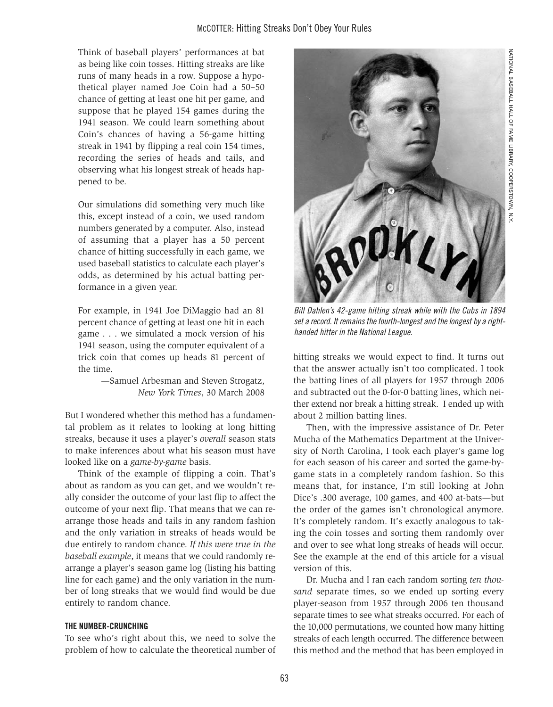Think of baseball players' performances at bat as being like coin tosses. Hitting streaks are like runs of many heads in a row. Suppose a hypothetical player named Joe Coin had a 50–50 chance of getting at least one hit per game, and suppose that he played 154 games during the 1941 season. We could learn something about Coin's chances of having a 56-game hitting streak in 1941 by flipping a real coin 154 times, recording the series of heads and tails, and observing what his longest streak of heads happened to be.

Our simulations did something very much like this, except instead of a coin, we used random numbers generated by a computer. Also, instead of assuming that a player has a 50 percent chance of hitting successfully in each game, we used baseball statistics to calculate each player's odds, as determined by his actual batting performance in a given year.

For example, in 1941 Joe DiMaggio had an 81 percent chance of getting at least one hit in each game . . . we simulated a mock version of his 1941 season, using the computer equivalent of a trick coin that comes up heads 81 percent of the time.

> —Samuel Arbesman and Steven Strogatz, *New York Times*, 30 March 2008

But I wondered whether this method has a fundamental problem as it relates to looking at long hitting streaks, because it uses a player's *overall* season stats to make inferences about what his season must have looked like on a *game-by-game* basis.

Think of the example of flipping a coin. That's about as random as you can get, and we wouldn't really consider the outcome of your last flip to affect the outcome of your next flip. That means that we can rearrange those heads and tails in any random fashion and the only variation in streaks of heads would be due entirely to random chance. *If this were true in the baseball example*, it means that we could randomly rearrange a player's season game log (listing his batting line for each game) and the only variation in the number of long streaks that we would find would be due entirely to random chance.

#### **THE NUMBER-CRUNCHING**

To see who's right about this, we need to solve the problem of how to calculate the theoretical number of



NATIONAL

BASEBALL

HALL OF FAME

LIBRARY,

COOPERSTOWN,

z<br>X

Bill Dahlen's 42-game hitting streak while with the Cubs in 1894 set a record. It remains the fourth-longest and the longest by a right-

hitting streaks we would expect to find. It turns out that the answer actually isn't too complicated. I took the batting lines of all players for 1957 through 2006 and subtracted out the 0-for-0 batting lines, which neither extend nor break a hitting streak. I ended up with about 2 million batting lines.

handed hitter in the National League.

Then, with the impressive assistance of Dr. Peter Mucha of the Mathematics Department at the University of North Carolina, I took each player's game log for each season of his career and sorted the game-bygame stats in a completely random fashion. So this means that, for instance, I'm still looking at John Dice's .300 average, 100 games, and 400 at-bats—but the order of the games isn't chronological anymore. It's completely random. It's exactly analogous to taking the coin tosses and sorting them randomly over and over to see what long streaks of heads will occur. See the example at the end of this article for a visual version of this.

Dr. Mucha and I ran each random sorting *ten thousand* separate times, so we ended up sorting every player-season from 1957 through 2006 ten thousand separate times to see what streaks occurred. For each of the 10,000 permutations, we counted how many hitting streaks of each length occurred. The difference between this method and the method that has been employed in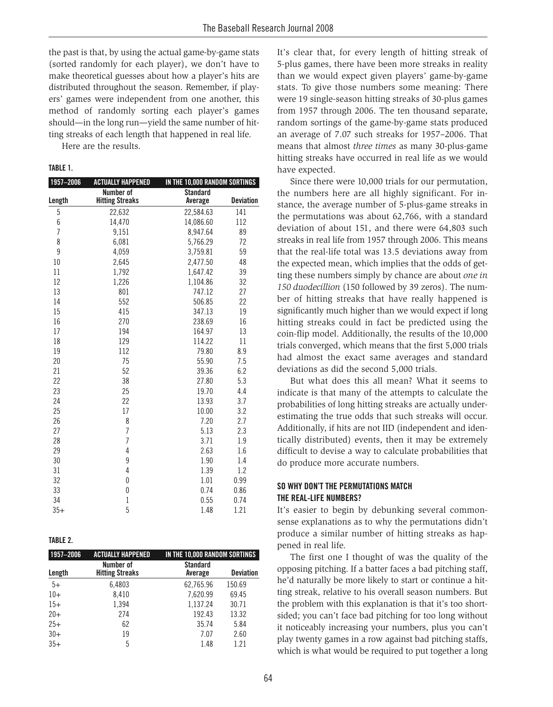the past is that, by using the actual game-by-game stats (sorted randomly for each player), we don't have to make theoretical guesses about how a player's hits are distributed throughout the season. Remember, if players' games were independent from one another, this method of randomly sorting each player's games should—in the long run—yield the same number of hitting streaks of each length that happened in real life.

Here are the results.

#### **TABLE 1.**

| 1957-2006      | <b>ACTUALLY HAPPENED</b> | IN THE 10,000 RANDOM SORTINGS |                  |
|----------------|--------------------------|-------------------------------|------------------|
|                | Number of                | <b>Standard</b>               |                  |
| Length         | <b>Hitting Streaks</b>   | Average                       | <b>Deviation</b> |
| 5              | 22,632                   | 22,584.63                     | 141              |
| 6              | 14,470                   | 14,086.60                     | 112              |
| $\overline{1}$ | 9,151                    | 8,947.64                      | 89               |
| 8              | 6,081                    | 5,766.29                      | 72               |
| 9              | 4,059                    | 3,759.81                      | 59               |
| 10             | 2,645                    | 2,477.50                      | 48               |
| 11             | 1,792                    | 1,647.42                      | 39               |
| 12             | 1,226                    | 1,104.86                      | 32               |
| 13             | 801                      | 747.12                        | 27               |
| 14             | 552                      | 506.85                        | 22               |
| 15             | 415                      | 347.13                        | 19               |
| 16             | 270                      | 238.69                        | 16               |
| 17             | 194                      | 164.97                        | 13               |
| 18             | 129                      | 114.22                        | 11               |
| 19             | 112                      | 79.80                         | 8.9              |
| 20             | 75                       | 55.90                         | 7.5              |
| 21             | 52                       | 39.36                         | 6.2              |
| 22             | 38                       | 27.80                         | 5.3              |
| 23             | 25                       | 19.70                         | 4.4              |
| 24             | 22                       | 13.93                         | 3.7              |
| 25             | 17                       | 10.00                         | 3.2              |
| 26             | 8                        | 7.20                          | 2.7              |
| 27             | $\overline{1}$           | 5.13                          | 2.3              |
| 28             | $\overline{1}$           | 3.71                          | 1.9              |
| 29             | 4                        | 2.63                          | 1.6              |
| 30             | 9                        | 1.90                          | 1.4              |
| 31             | $\overline{4}$           | 1.39                          | 1.2              |
| 32             | $\mathbf{0}$             | 1.01                          | 0.99             |
| 33             | $\pmb{0}$                | 0.74                          | 0.86             |
| 34             | $\,1$                    | 0.55                          | 0.74             |
| $35+$          | 5                        | 1.48                          | 1.21             |

#### **TABLE 2.**

| 1957-2006 | <b>ACTUALLY HAPPENED</b>            | IN THE 10,000 RANDOM SORTINGS |                  |
|-----------|-------------------------------------|-------------------------------|------------------|
| Length    | Number of<br><b>Hitting Streaks</b> | <b>Standard</b><br>Average    | <b>Deviation</b> |
| $5+$      | 6,4803                              | 62,765.96                     | 150.69           |
| $10+$     | 8.410                               | 7,620.99                      | 69.45            |
| $15+$     | 1.394                               | 1.137.24                      | 30.71            |
| $20+$     | 274                                 | 192.43                        | 13.32            |
| $25+$     | 62                                  | 35.74                         | 5.84             |
| $30+$     | 19                                  | 7.07                          | 2.60             |
| $35+$     | 5                                   | 1.48                          | 1.21             |

It's clear that, for every length of hitting streak of 5-plus games, there have been more streaks in reality than we would expect given players' game-by-game stats. To give those numbers some meaning: There were 19 single-season hitting streaks of 30-plus games from 1957 through 2006. The ten thousand separate, random sortings of the game-by-game stats produced an average of 7.07 such streaks for 1957–2006. That means that almost *three times* as many 30-plus-game hitting streaks have occurred in real life as we would have expected.

Since there were 10,000 trials for our permutation, the numbers here are all highly significant. For instance, the average number of 5-plus-game streaks in the permutations was about 62,766, with a standard deviation of about 151, and there were 64,803 such streaks in real life from 1957 through 2006. This means that the real-life total was 13.5 deviations away from the expected mean, which implies that the odds of getting these numbers simply by chance are about *one in 150 duodecillion* (150 followed by 39 zeros). The number of hitting streaks that have really happened is significantly much higher than we would expect if long hitting streaks could in fact be predicted using the coin-flip model. Additionally, the results of the 10,000 trials converged, which means that the first 5,000 trials had almost the exact same averages and standard deviations as did the second 5,000 trials.

But what does this all mean? What it seems to indicate is that many of the attempts to calculate the probabilities of long hitting streaks are actually underestimating the true odds that such streaks will occur. Additionally, if hits are not IID (independent and identically distributed) events, then it may be extremely difficult to devise a way to calculate probabilities that do produce more accurate numbers.

## **SO WHY DON'T THE PERMUTATIONS MATCH THE REAL-LIFE NUMBERS?**

It's easier to begin by debunking several commonsense explanations as to why the permutations didn't produce a similar number of hitting streaks as happened in real life.

The first one I thought of was the quality of the opposing pitching. If a batter faces a bad pitching staff, he'd naturally be more likely to start or continue a hitting streak, relative to his overall season numbers. But the problem with this explanation is that it's too shortsided; you can't face bad pitching for too long without it noticeably increasing your numbers, plus you can't play twenty games in a row against bad pitching staffs, which is what would be required to put together a long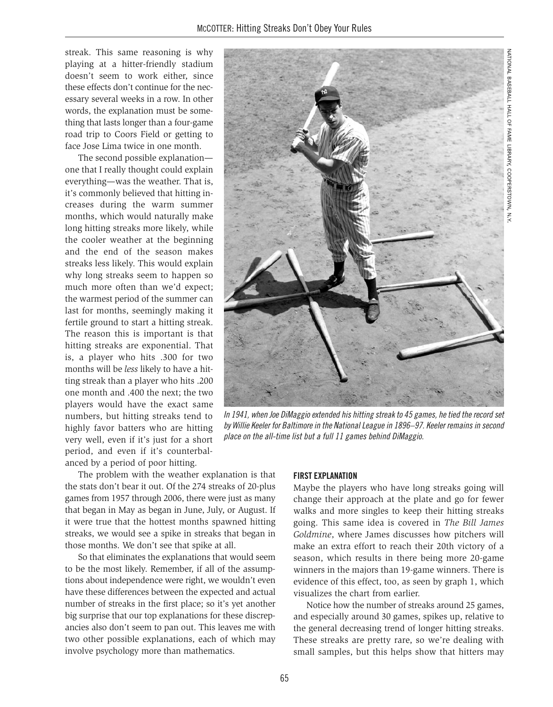streak. This same reasoning is why playing at a hitter-friendly stadium doesn't seem to work either, since these effects don't continue for the necessary several weeks in a row. In other words, the explanation must be something that lasts longer than a four-game road trip to Coors Field or getting to face Jose Lima twice in one month.

The second possible explanation one that I really thought could explain everything—was the weather. That is, it's commonly believed that hitting increases during the warm summer months, which would naturally make long hitting streaks more likely, while the cooler weather at the beginning and the end of the season makes streaks less likely. This would explain why long streaks seem to happen so much more often than we'd expect; the warmest period of the summer can last for months, seemingly making it fertile ground to start a hitting streak. The reason this is important is that hitting streaks are exponential. That is, a player who hits .300 for two months will be *less* likely to have a hitting streak than a player who hits .200 one month and .400 the next; the two players would have the exact same numbers, but hitting streaks tend to highly favor batters who are hitting very well, even if it's just for a short period, and even if it's counterbalanced by a period of poor hitting.

The problem with the weather explanation is that the stats don't bear it out. Of the 274 streaks of 20-plus games from 1957 through 2006, there were just as many that began in May as began in June, July, or August. If it were true that the hottest months spawned hitting streaks, we would see a spike in streaks that began in those months. We don't see that spike at all.

So that eliminates the explanations that would seem to be the most likely. Remember, if all of the assumptions about independence were right, we wouldn't even have these differences between the expected and actual number of streaks in the first place; so it's yet another big surprise that our top explanations for these discrepancies also don't seem to pan out. This leaves me with two other possible explanations, each of which may involve psychology more than mathematics.



In 1941, when Joe DiMaggio extended his hitting streak to 45 games, he tied the record set by Willie Keeler for Baltimore in the National League in 1896–97. Keeler remains in second place on the all-time list but a full 11 games behind DiMaggio.

#### **FIRST EXPLANATION**

Maybe the players who have long streaks going will change their approach at the plate and go for fewer walks and more singles to keep their hitting streaks going. This same idea is covered in *The Bill James Goldmine*, where James discusses how pitchers will make an extra effort to reach their 20th victory of a season, which results in there being more 20-game winners in the majors than 19-game winners. There is evidence of this effect, too, as seen by graph 1, which visualizes the chart from earlier.

Notice how the number of streaks around 25 games, and especially around 30 games, spikes up, relative to the general decreasing trend of longer hitting streaks. These streaks are pretty rare, so we're dealing with small samples, but this helps show that hitters may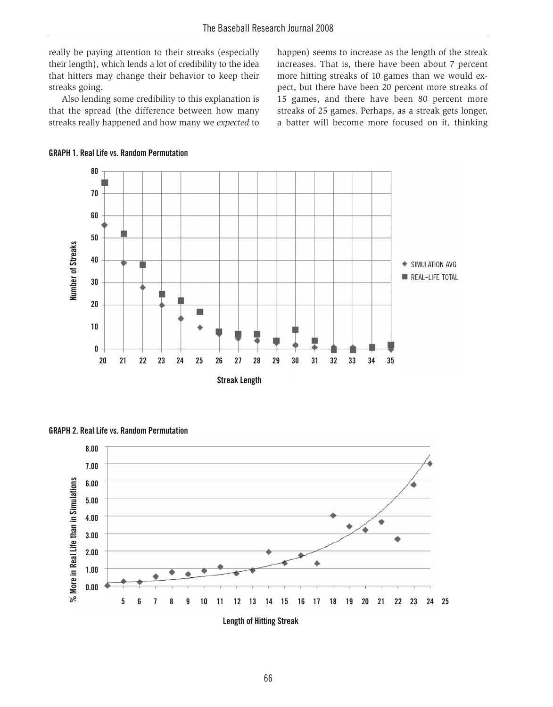really be paying attention to their streaks (especially their length), which lends a lot of credibility to the idea that hitters may change their behavior to keep their streaks going.

Also lending some credibility to this explanation is that the spread (the difference between how many streaks really happened and how many we *expected* to happen) seems to increase as the length of the streak increases. That is, there have been about 7 percent more hitting streaks of 10 games than we would expect, but there have been 20 percent more streaks of 15 games, and there have been 80 percent more streaks of 25 games. Perhaps, as a streak gets longer, a batter will become more focused on it, thinking







**GRAPH 2. Real Life vs. Random Permutation**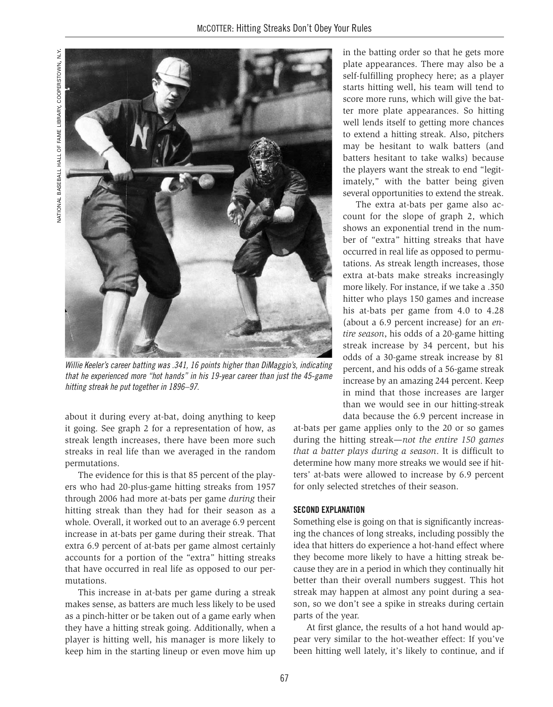

Willie Keeler's career batting was .341, 16 points higher than DiMaggio's, indicating that he experienced more "hot hands" in his 19-year career than just the 45-game hitting streak he put together in 1896–97.

about it during every at-bat, doing anything to keep it going. See graph 2 for a representation of how, as streak length increases, there have been more such streaks in real life than we averaged in the random permutations.

The evidence for this is that 85 percent of the players who had 20-plus-game hitting streaks from 1957 through 2006 had more at-bats per game *during* their hitting streak than they had for their season as a whole. Overall, it worked out to an average 6.9 percent increase in at-bats per game during their streak. That extra 6.9 percent of at-bats per game almost certainly accounts for a portion of the "extra" hitting streaks that have occurred in real life as opposed to our permutations.

This increase in at-bats per game during a streak makes sense, as batters are much less likely to be used as a pinch-hitter or be taken out of a game early when they have a hitting streak going. Additionally, when a player is hitting well, his manager is more likely to keep him in the starting lineup or even move him up in the batting order so that he gets more plate appearances. There may also be a self-fulfilling prophecy here; as a player starts hitting well, his team will tend to score more runs, which will give the batter more plate appearances. So hitting well lends itself to getting more chances to extend a hitting streak. Also, pitchers may be hesitant to walk batters (and batters hesitant to take walks) because the players want the streak to end "legitimately," with the batter being given several opportunities to extend the streak.

The extra at-bats per game also account for the slope of graph 2, which shows an exponential trend in the number of "extra" hitting streaks that have occurred in real life as opposed to permutations. As streak length increases, those extra at-bats make streaks increasingly more likely. For instance, if we take a .350 hitter who plays 150 games and increase his at-bats per game from 4.0 to 4.28 (about a 6.9 percent increase) for an *entire season*, his odds of a 20-game hitting streak increase by 34 percent, but his odds of a 30-game streak increase by 81 percent, and his odds of a 56-game streak increase by an amazing 244 percent. Keep in mind that those increases are larger than we would see in our hitting-streak data because the 6.9 percent increase in

at-bats per game applies only to the 20 or so games during the hitting streak—*not the entire 150 games that a batter plays during a season*. It is difficult to determine how many more streaks we would see if hitters' at-bats were allowed to increase by 6.9 percent for only selected stretches of their season.

#### **SECOND EXPLANATION**

Something else is going on that is significantly increasing the chances of long streaks, including possibly the idea that hitters do experience a hot-hand effect where they become more likely to have a hitting streak because they are in a period in which they continually hit better than their overall numbers suggest. This hot streak may happen at almost any point during a season, so we don't see a spike in streaks during certain parts of the year.

At first glance, the results of a hot hand would appear very similar to the hot-weather effect: If you've been hitting well lately, it's likely to continue, and if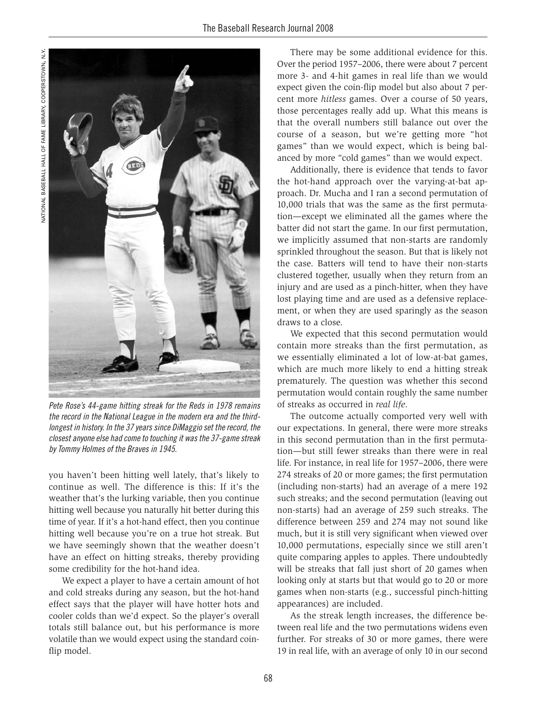

Pete Rose's 44-game hitting streak for the Reds in 1978 remains the record in the National League in the modern era and the thirdlongest in history. In the 37 years since DiMaggio set the record, the closest anyone else had come to touching it was the 37-game streak by Tommy Holmes of the Braves in 1945.

you haven't been hitting well lately, that's likely to continue as well. The difference is this: If it's the weather that's the lurking variable, then you continue hitting well because you naturally hit better during this time of year. If it's a hot-hand effect, then you continue hitting well because you're on a true hot streak. But we have seemingly shown that the weather doesn't have an effect on hitting streaks, thereby providing some credibility for the hot-hand idea.

We expect a player to have a certain amount of hot and cold streaks during any season, but the hot-hand effect says that the player will have hotter hots and cooler colds than we'd expect. So the player's overall totals still balance out, but his performance is more volatile than we would expect using the standard coinflip model.

There may be some additional evidence for this. Over the period 1957–2006, there were about 7 percent more 3- and 4-hit games in real life than we would expect given the coin-flip model but also about 7 percent more *hitless* games. Over a course of 50 years, those percentages really add up. What this means is that the overall numbers still balance out over the course of a season, but we're getting more "hot games" than we would expect, which is being balanced by more "cold games" than we would expect.

Additionally, there is evidence that tends to favor the hot-hand approach over the varying-at-bat approach. Dr. Mucha and I ran a second permutation of 10,000 trials that was the same as the first permutation—except we eliminated all the games where the batter did not start the game. In our first permutation, we implicitly assumed that non-starts are randomly sprinkled throughout the season. But that is likely not the case. Batters will tend to have their non-starts clustered together, usually when they return from an injury and are used as a pinch-hitter, when they have lost playing time and are used as a defensive replacement, or when they are used sparingly as the season draws to a close.

We expected that this second permutation would contain more streaks than the first permutation, as we essentially eliminated a lot of low-at-bat games, which are much more likely to end a hitting streak prematurely. The question was whether this second permutation would contain roughly the same number of streaks as occurred in *real life*.

The outcome actually comported very well with our expectations. In general, there were more streaks in this second permutation than in the first permutation—but still fewer streaks than there were in real life. For instance, in real life for 1957–2006, there were 274 streaks of 20 or more games; the first permutation (including non-starts) had an average of a mere 192 such streaks; and the second permutation (leaving out non-starts) had an average of 259 such streaks. The difference between 259 and 274 may not sound like much, but it is still very significant when viewed over 10,000 permutations, especially since we still aren't quite comparing apples to apples. There undoubtedly will be streaks that fall just short of 20 games when looking only at starts but that would go to 20 or more games when non-starts (e.g., successful pinch-hitting appearances) are included.

As the streak length increases, the difference between real life and the two permutations widens even further. For streaks of 30 or more games, there were 19 in real life, with an average of only 10 in our second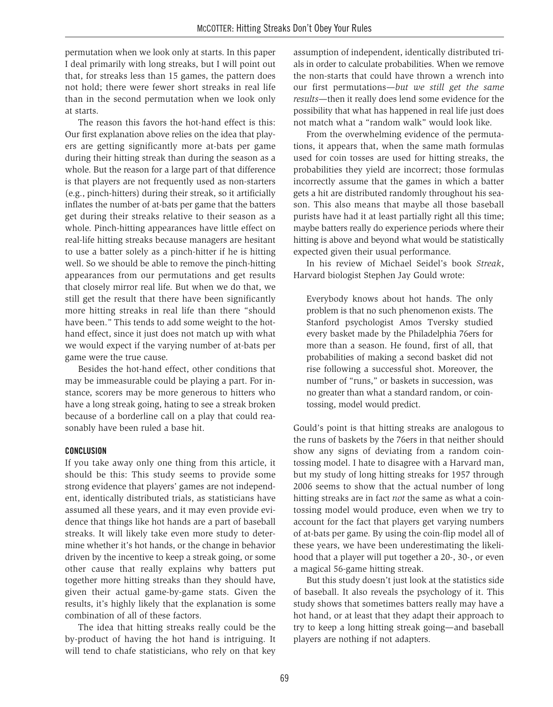permutation when we look only at starts. In this paper I deal primarily with long streaks, but I will point out that, for streaks less than 15 games, the pattern does not hold; there were fewer short streaks in real life than in the second permutation when we look only at starts.

The reason this favors the hot-hand effect is this: Our first explanation above relies on the idea that players are getting significantly more at-bats per game during their hitting streak than during the season as a whole. But the reason for a large part of that difference is that players are not frequently used as non-starters (e.g., pinch-hitters) during their streak, so it artificially inflates the number of at-bats per game that the batters get during their streaks relative to their season as a whole. Pinch-hitting appearances have little effect on real-life hitting streaks because managers are hesitant to use a batter solely as a pinch-hitter if he is hitting well. So we should be able to remove the pinch-hitting appearances from our permutations and get results that closely mirror real life. But when we do that, we still get the result that there have been significantly more hitting streaks in real life than there "should have been." This tends to add some weight to the hothand effect, since it just does not match up with what we would expect if the varying number of at-bats per game were the true cause.

Besides the hot-hand effect, other conditions that may be immeasurable could be playing a part. For instance, scorers may be more generous to hitters who have a long streak going, hating to see a streak broken because of a borderline call on a play that could reasonably have been ruled a base hit.

## **CONCLUSION**

If you take away only one thing from this article, it should be this: This study seems to provide some strong evidence that players' games are not independent, identically distributed trials, as statisticians have assumed all these years, and it may even provide evidence that things like hot hands are a part of baseball streaks. It will likely take even more study to determine whether it's hot hands, or the change in behavior driven by the incentive to keep a streak going, or some other cause that really explains why batters put together more hitting streaks than they should have, given their actual game-by-game stats. Given the results, it's highly likely that the explanation is some combination of all of these factors.

The idea that hitting streaks really could be the by-product of having the hot hand is intriguing. It will tend to chafe statisticians, who rely on that key assumption of independent, identically distributed trials in order to calculate probabilities. When we remove the non-starts that could have thrown a wrench into our first permutations—*but we still get the same results*—then it really does lend some evidence for the possibility that what has happened in real life just does not match what a "random walk" would look like.

From the overwhelming evidence of the permutations, it appears that, when the same math formulas used for coin tosses are used for hitting streaks, the probabilities they yield are incorrect; those formulas incorrectly assume that the games in which a batter gets a hit are distributed randomly throughout his season. This also means that maybe all those baseball purists have had it at least partially right all this time; maybe batters really do experience periods where their hitting is above and beyond what would be statistically expected given their usual performance.

In his review of Michael Seidel's book *Streak*, Harvard biologist Stephen Jay Gould wrote:

Everybody knows about hot hands. The only problem is that no such phenomenon exists. The Stanford psychologist Amos Tversky studied every basket made by the Philadelphia 76ers for more than a season. He found, first of all, that probabilities of making a second basket did not rise following a successful shot. Moreover, the number of "runs," or baskets in succession, was no greater than what a standard random, or cointossing, model would predict.

Gould's point is that hitting streaks are analogous to the runs of baskets by the 76ers in that neither should show any signs of deviating from a random cointossing model. I hate to disagree with a Harvard man, but my study of long hitting streaks for 1957 through 2006 seems to show that the actual number of long hitting streaks are in fact *not* the same as what a cointossing model would produce, even when we try to account for the fact that players get varying numbers of at-bats per game. By using the coin-flip model all of these years, we have been underestimating the likelihood that a player will put together a 20-, 30-, or even a magical 56-game hitting streak.

But this study doesn't just look at the statistics side of baseball. It also reveals the psychology of it. This study shows that sometimes batters really may have a hot hand, or at least that they adapt their approach to try to keep a long hitting streak going—and baseball players are nothing if not adapters.